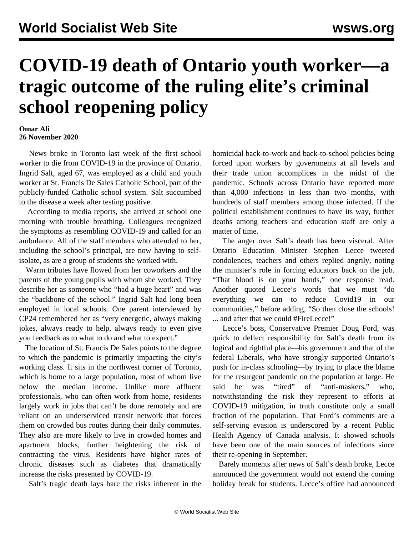## **COVID-19 death of Ontario youth worker—a tragic outcome of the ruling elite's criminal school reopening policy**

## **Omar Ali 26 November 2020**

 News broke in Toronto last week of the first school worker to die from COVID-19 in the province of Ontario. Ingrid Salt, aged 67, was employed as a child and youth worker at St. Francis De Sales Catholic School, part of the publicly-funded Catholic school system. Salt succumbed to the disease a week after testing positive.

 According to media reports, she arrived at school one morning with trouble breathing. Colleagues recognized the symptoms as resembling COVID-19 and called for an ambulance. All of the staff members who attended to her, including the school's principal, are now having to selfisolate, as are a group of students she worked with.

 Warm tributes have flowed from her coworkers and the parents of the young pupils with whom she worked. They describe her as someone who "had a huge heart" and was the "backbone of the school." Ingrid Salt had long been employed in local schools. One parent interviewed by CP24 remembered her as "very energetic, always making jokes, always ready to help, always ready to even give you feedback as to what to do and what to expect."

 The location of St. Francis De Sales points to the degree to which the pandemic is primarily impacting the city's working class. It sits in the northwest corner of Toronto, which is home to a large population, most of whom live below the median income. Unlike more affluent professionals, who can often work from home, residents largely work in jobs that can't be done remotely and are reliant on an underserviced transit network that forces them on crowded bus routes during their daily commutes. They also are more likely to live in crowded homes and apartment blocks, further heightening the risk of contracting the virus. Residents have higher rates of chronic diseases such as diabetes that dramatically increase the risks presented by COVID-19.

Salt's tragic death lays bare the risks inherent in the

homicidal back-to-work and back-to-school policies being forced upon workers by governments at all levels and their trade union accomplices in the midst of the pandemic. Schools across Ontario have reported more than 4,000 infections in less than two months, with hundreds of staff members among those infected. If the political establishment continues to have its way, further deaths among teachers and education staff are only a matter of time.

 The anger over Salt's death has been visceral. After Ontario Education Minister Stephen Lecce tweeted condolences, teachers and others replied angrily, noting the minister's role in forcing educators back on the job. "That blood is on your hands," one response read. Another quoted Lecce's words that we must "do everything we can to reduce Covid19 in our communities," before adding, "So then close the schools! ... and after that we could #FireLecce!"

 Lecce's boss, Conservative Premier Doug Ford, was quick to deflect responsibility for Salt's death from its logical and rightful place—his government and that of the federal Liberals, who have strongly supported Ontario's push for in-class schooling—by trying to place the blame for the resurgent pandemic on the population at large. He said he was "tired" of "anti-maskers," who, notwithstanding the risk they represent to efforts at COVID-19 mitigation, in truth constitute only a small fraction of the population. That Ford's comments are a self-serving evasion is underscored by a recent Public Health Agency of Canada analysis. It showed schools have been one of the main sources of infections since their re-opening in September.

 Barely moments after news of Salt's death broke, Lecce announced the government would not extend the coming holiday break for students. Lecce's office had announced